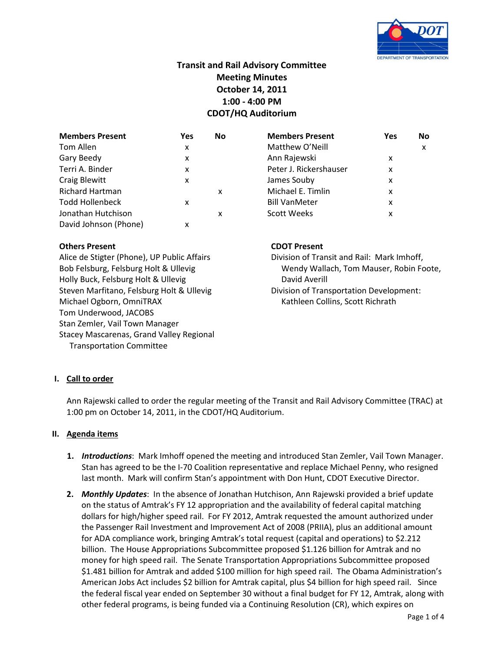

# **Transit and Rail Advisory Committee Meeting Minutes October 14, 2011 1:00 - 4:00 PM CDOT/HQ Auditorium**

| <b>Members Present</b> | Yes | No | <b>Members Present</b> | Yes | No |
|------------------------|-----|----|------------------------|-----|----|
| Tom Allen              | x   |    | Matthew O'Neill        |     | x  |
| Gary Beedy             | x   |    | Ann Rajewski           | x   |    |
| Terri A. Binder        | x   |    | Peter J. Rickershauser | x   |    |
| <b>Craig Blewitt</b>   | x   |    | James Souby            | x   |    |
| <b>Richard Hartman</b> |     | x  | Michael E. Timlin      | x   |    |
| <b>Todd Hollenbeck</b> | x   |    | <b>Bill VanMeter</b>   | x   |    |
| Jonathan Hutchison     |     | x  | <b>Scott Weeks</b>     | x   |    |
| David Johnson (Phone)  | x   |    |                        |     |    |

# **Others Present CDOT Present**

Holly Buck, Felsburg Holt & Ullevig David Averill Steven Marfitano, Felsburg Holt & Ullevig Division of Transportation Development: Michael Ogborn, OmniTRAX **Kathleen Collins, Scott Richrath** Tom Underwood, JACOBS Stan Zemler, Vail Town Manager Stacey Mascarenas, Grand Valley Regional Transportation Committee

Alice de Stigter (Phone), UP Public Affairs **Division of Transit and Rail: Mark Imhoff**, Bob Felsburg, Felsburg Holt & Ullevig Wendy Wendy Wallach, Tom Mauser, Robin Foote,

# **I. Call to order**

Ann Rajewski called to order the regular meeting of the Transit and Rail Advisory Committee (TRAC) at 1:00 pm on October 14, 2011, in the CDOT/HQ Auditorium.

### **II. Agenda items**

- **1.** *Introductions*: Mark Imhoff opened the meeting and introduced Stan Zemler, Vail Town Manager. Stan has agreed to be the I-70 Coalition representative and replace Michael Penny, who resigned last month. Mark will confirm Stan's appointment with Don Hunt, CDOT Executive Director.
- **2.** *Monthly Updates*: In the absence of Jonathan Hutchison, Ann Rajewski provided a brief update on the status of Amtrak's FY 12 appropriation and the availability of federal capital matching dollars for high/higher speed rail. For FY 2012, Amtrak requested the amount authorized under the Passenger Rail Investment and Improvement Act of 2008 (PRIIA), plus an additional amount for ADA compliance work, bringing Amtrak's total request (capital and operations) to \$2.212 billion. The House Appropriations Subcommittee proposed \$1.126 billion for Amtrak and no money for high speed rail. The Senate Transportation Appropriations Subcommittee proposed \$1.481 billion for Amtrak and added \$100 million for high speed rail. The Obama Administration's American Jobs Act includes \$2 billion for Amtrak capital, plus \$4 billion for high speed rail. Since the federal fiscal year ended on September 30 without a final budget for FY 12, Amtrak, along with other federal programs, is being funded via a Continuing Resolution (CR), which expires on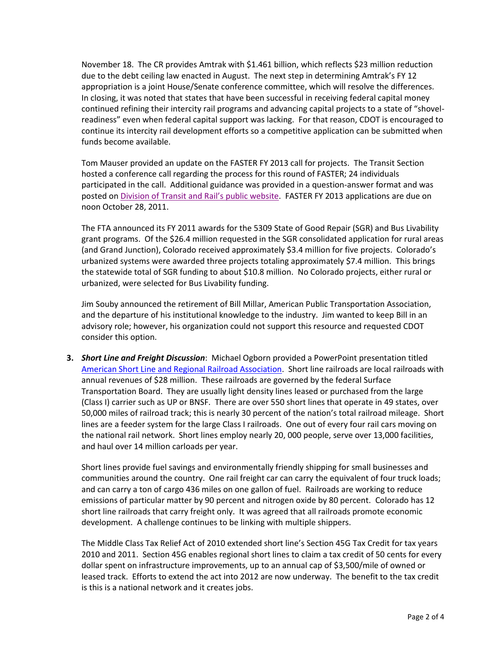November 18. The CR provides Amtrak with \$1.461 billion, which reflects \$23 million reduction due to the debt ceiling law enacted in August. The next step in determining Amtrak's FY 12 appropriation is a joint House/Senate conference committee, which will resolve the differences. In closing, it was noted that states that have been successful in receiving federal capital money continued refining their intercity rail programs and advancing capital projects to a state of "shovelreadiness" even when federal capital support was lacking. For that reason, CDOT is encouraged to continue its intercity rail development efforts so a competitive application can be submitted when funds become available.

Tom Mauser provided an update on the FASTER FY 2013 call for projects. The Transit Section hosted a conference call regarding the process for this round of FASTER; 24 individuals participated in the call. Additional guidance was provided in a question-answer format and was posted on [Division of Transit and Rail's public website](http://www.coloradodot.info/programs/transitandrail/transit/documents/UpdateonFASTERTransitApplicationGuidance.pdf). FASTER FY 2013 applications are due on noon October 28, 2011.

The FTA announced its FY 2011 awards for the 5309 State of Good Repair (SGR) and Bus Livability grant programs. Of the \$26.4 million requested in the SGR consolidated application for rural areas (and Grand Junction), Colorado received approximately \$3.4 million for five projects. Colorado's urbanized systems were awarded three projects totaling approximately \$7.4 million. This brings the statewide total of SGR funding to about \$10.8 million. No Colorado projects, either rural or urbanized, were selected for Bus Livability funding.

Jim Souby announced the retirement of Bill Millar, American Public Transportation Association, and the departure of his institutional knowledge to the industry. Jim wanted to keep Bill in an advisory role; however, his organization could not support this resource and requested CDOT consider this option.

**3.** *Short Line and Freight Discussion*: Michael Ogborn provided a PowerPoint presentation titled [American Short Line and Regional Railroad Association.](http://www.coloradodot.info/about/committees/trac/Documents/American%20Short%20Line%20and%20Regional%20Railroad%20Association/view) Short line railroads are local railroads with annual revenues of \$28 million. These railroads are governed by the federal Surface Transportation Board. They are usually light density lines leased or purchased from the large (Class I) carrier such as UP or BNSF. There are over 550 short lines that operate in 49 states, over 50,000 miles of railroad track; this is nearly 30 percent of the nation's total railroad mileage. Short lines are a feeder system for the large Class I railroads. One out of every four rail cars moving on the national rail network. Short lines employ nearly 20, 000 people, serve over 13,000 facilities, and haul over 14 million carloads per year.

Short lines provide fuel savings and environmentally friendly shipping for small businesses and communities around the country. One rail freight car can carry the equivalent of four truck loads; and can carry a ton of cargo 436 miles on one gallon of fuel. Railroads are working to reduce emissions of particular matter by 90 percent and nitrogen oxide by 80 percent. Colorado has 12 short line railroads that carry freight only. It was agreed that all railroads promote economic development. A challenge continues to be linking with multiple shippers.

The Middle Class Tax Relief Act of 2010 extended short line's Section 45G Tax Credit for tax years 2010 and 2011. Section 45G enables regional short lines to claim a tax credit of 50 cents for every dollar spent on infrastructure improvements, up to an annual cap of \$3,500/mile of owned or leased track. Efforts to extend the act into 2012 are now underway. The benefit to the tax credit is this is a national network and it creates jobs.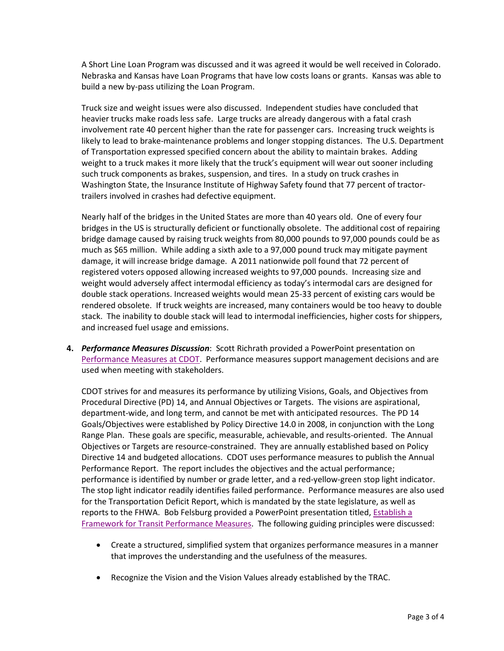A Short Line Loan Program was discussed and it was agreed it would be well received in Colorado. Nebraska and Kansas have Loan Programs that have low costs loans or grants. Kansas was able to build a new by-pass utilizing the Loan Program.

Truck size and weight issues were also discussed. Independent studies have concluded that heavier trucks make roads less safe. Large trucks are already dangerous with a fatal crash involvement rate 40 percent higher than the rate for passenger cars. Increasing truck weights is likely to lead to brake-maintenance problems and longer stopping distances. The U.S. Department of Transportation expressed specified concern about the ability to maintain brakes. Adding weight to a truck makes it more likely that the truck's equipment will wear out sooner including such truck components as brakes, suspension, and tires. In a study on truck crashes in Washington State, the Insurance Institute of Highway Safety found that 77 percent of tractortrailers involved in crashes had defective equipment.

Nearly half of the bridges in the United States are more than 40 years old. One of every four bridges in the US is structurally deficient or functionally obsolete. The additional cost of repairing bridge damage caused by raising truck weights from 80,000 pounds to 97,000 pounds could be as much as \$65 million. While adding a sixth axle to a 97,000 pound truck may mitigate payment damage, it will increase bridge damage. A 2011 nationwide poll found that 72 percent of registered voters opposed allowing increased weights to 97,000 pounds. Increasing size and weight would adversely affect intermodal efficiency as today's intermodal cars are designed for double stack operations. Increased weights would mean 25-33 percent of existing cars would be rendered obsolete. If truck weights are increased, many containers would be too heavy to double stack. The inability to double stack will lead to intermodal inefficiencies, higher costs for shippers, and increased fuel usage and emissions.

**4.** *Performance Measures Discussion*: Scott Richrath provided a PowerPoint presentation on [Performance Measures at CDOT.](http://www.coloradodot.info/about/committees/trac/Documents/Performance%20Measures%20at%20CDOT%2010-14-2011/view) Performance measures support management decisions and are used when meeting with stakeholders.

CDOT strives for and measures its performance by utilizing Visions, Goals, and Objectives from Procedural Directive (PD) 14, and Annual Objectives or Targets. The visions are aspirational, department-wide, and long term, and cannot be met with anticipated resources. The PD 14 Goals/Objectives were established by Policy Directive 14.0 in 2008, in conjunction with the Long Range Plan. These goals are specific, measurable, achievable, and results-oriented. The Annual Objectives or Targets are resource-constrained. They are annually established based on Policy Directive 14 and budgeted allocations. CDOT uses performance measures to publish the Annual Performance Report. The report includes the objectives and the actual performance; performance is identified by number or grade letter, and a red-yellow-green stop light indicator. The stop light indicator readily identifies failed performance. Performance measures are also used for the Transportation Deficit Report, which is mandated by the state legislature, as well as reports to the FHWA. Bob Felsburg provided a PowerPoint presentation titled[, Establish](http://www.coloradodot.info/about/committees/trac/Documents/Establish%20a%20Framework%20for%20Transit%20Performance%20Measures%2010-14-2011/view) a [Framework for Transit Performance Measures.](http://www.coloradodot.info/about/committees/trac/Documents/Establish%20a%20Framework%20for%20Transit%20Performance%20Measures%2010-14-2011/view) The following guiding principles were discussed:

- Create a structured, simplified system that organizes performance measures in a manner that improves the understanding and the usefulness of the measures.
- Recognize the Vision and the Vision Values already established by the TRAC.